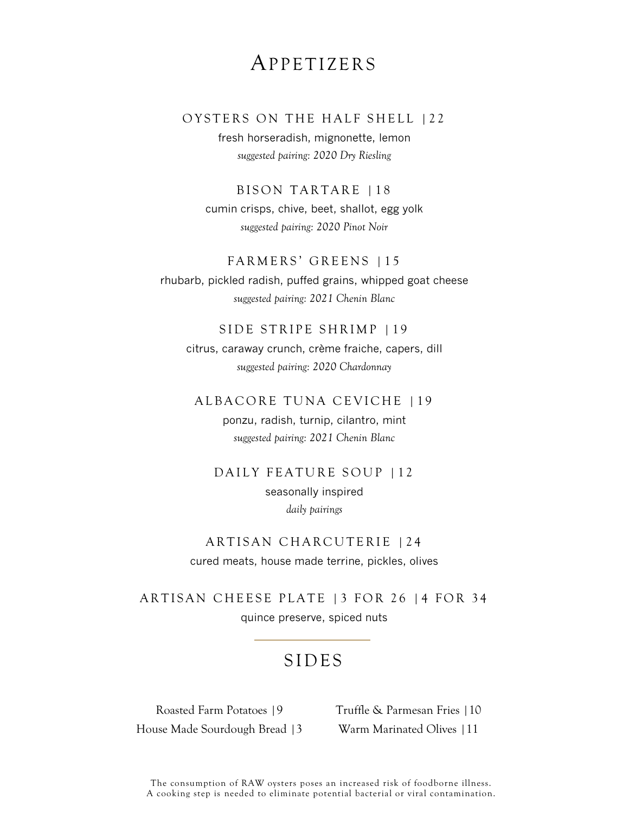## APPETIZERS

### OYSTERS ON THE HALF SHELL | 22

fresh horseradish, mignonette, lemon *suggested pairing: 2020 Dry Riesling*

BISON TARTARE | 1 8

cumin crisps, chive, beet, shallot, egg yolk *suggested pairing: 2020 Pinot Noir*

#### FARMERS' GREENS | 15

rhubarb, pickled radish, puffed grains, whipped goat cheese *suggested pairing: 2021 Chenin Blanc*

#### SIDE STRIPE SHRIMP | 19

citrus, caraway crunch, crème fraiche, capers, dill *suggested pairing: 2020 Chardonnay*

### ALBACORE TUNA CEVICHE | 19

ponzu, radish, turnip, cilantro, mint *suggested pairing: 2021 Chenin Blanc*

### DAILY FEATURE SOUP | 12

seasonally inspired *daily pairings*

### ARTISAN CHARCUTERIE | 2 4 cured meats, house made terrine, pickles, olives

ARTISAN CHEESE PLATE | 3 FOR 26 | 4 FOR 34 quince preserve, spiced nuts

## SIDES

Roasted Farm Potatoes |9 House Made Sourdough Bread |3 Truffle & Parmesan Fries |10 Warm Marinated Olives |11